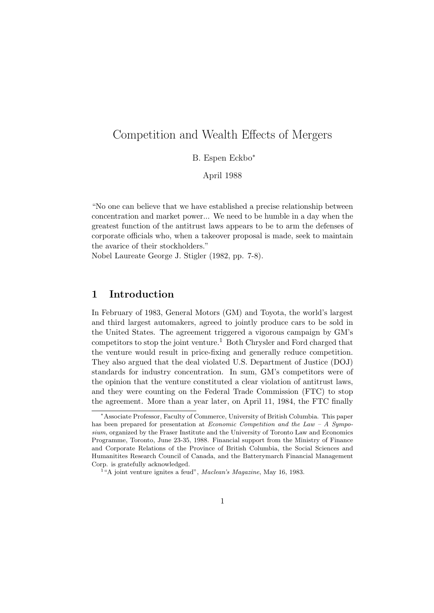# Competition and Wealth Effects of Mergers

# B. Espen Eckbo<sup>∗</sup>

April 1988

"No one can believe that we have established a precise relationship between concentration and market power... We need to be humble in a day when the greatest function of the antitrust laws appears to be to arm the defenses of corporate officials who, when a takeover proposal is made, seek to maintain the avarice of their stockholders."

Nobel Laureate George J. Stigler (1982, pp. 7-8).

# 1 Introduction

In February of 1983, General Motors (GM) and Toyota, the world's largest and third largest automakers, agreed to jointly produce cars to be sold in the United States. The agreement triggered a vigorous campaign by GM's competitors to stop the joint venture.<sup>1</sup> Both Chrysler and Ford charged that the venture would result in price-fixing and generally reduce competition. They also argued that the deal violated U.S. Department of Justice (DOJ) standards for industry concentration. In sum, GM's competitors were of the opinion that the venture constituted a clear violation of antitrust laws, and they were counting on the Federal Trade Commission (FTC) to stop the agreement. More than a year later, on April 11, 1984, the FTC finally

<sup>∗</sup>Associate Professor, Faculty of Commerce, University of British Columbia. This paper has been prepared for presentation at Economic Competition and the Law – A Symposium, organized by the Fraser Institute and the University of Toronto Law and Economics Programme, Toronto, June 23-35, 1988. Financial support from the Ministry of Finance and Corporate Relations of the Province of British Columbia, the Social Sciences and Humanitites Research Council of Canada, and the Batterymarch Financial Management Corp. is gratefully acknowledged.

<sup>&</sup>lt;sup>1</sup>"A joint venture ignites a feud", Maclean's Magazine, May 16, 1983.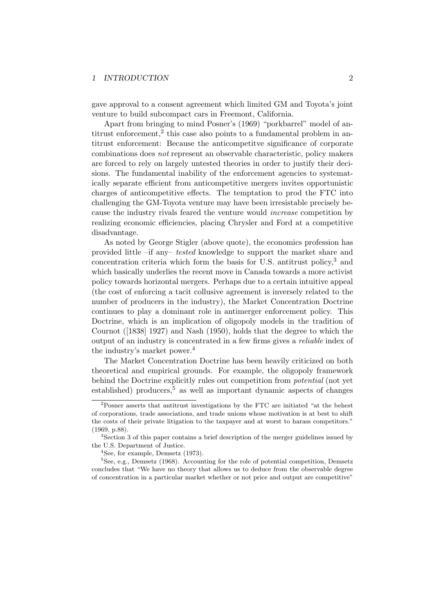#### 1 INTRODUCTION 2

gave approval to a consent agreement which limited GM and Toyota's joint venture to build subcompact cars in Freemont, California.

Apart from bringing to mind Posner's (1969) "porkbarrel" model of antitrust enforcement,<sup>2</sup> this case also points to a fundamental problem in antitrust enforcement: Because the anticompetitve significance of corporate combinations does not represent an observable characteristic, policy makers are forced to rely on largely untested theories in order to justify their decisions. The fundamental inability of the enforcement agencies to systematically separate efficient from anticompetitive mergers invites opportunistic charges of anticompetitive effects. The temptation to prod the FTC into challenging the GM-Toyota venture may have been irresistable precisely because the industry rivals feared the venture would increase competition by realizing economic efficiencies, placing Chrysler and Ford at a competitive disadvantage.

As noted by George Stigler (above quote), the economics profession has provided little –if any– tested knowledge to support the market share and concentration criteria which form the basis for U.S. antitrust policy,<sup>3</sup> and which basically underlies the recent move in Canada towards a more activist policy towards horizontal mergers. Perhaps due to a certain intuitive appeal (the cost of enforcing a tacit collusive agreement is inversely related to the number of producers in the industry), the Market Concentration Doctrine continues to play a dominant role in antimerger enforcement policy. This Doctrine, which is an implication of oligopoly models in the tradition of Cournot ([1838] 1927) and Nash (1950), holds that the degree to which the output of an industry is concentrated in a few firms gives a reliable index of the industry's market power.<sup>4</sup>

The Market Concentration Doctrine has been heavily criticized on both theoretical and empirical grounds. For example, the oligopoly framework behind the Doctrine explicitly rules out competition from potential (not yet established) producers,  $5$  as well as important dynamic aspects of changes

<sup>2</sup>Posner asserts that antitrust investigations by the FTC are initiated "at the behest of corporations, trade associations, and trade unions whose motivation is at best to shift the costs of their private litigation to the taxpayer and at worst to harass competitors." (1969, p.88).

<sup>&</sup>lt;sup>3</sup>Section 3 of this paper contains a brief description of the merger guidelines issued by the U.S. Department of Justice.

 $4$ See, for example, Demsetz (1973).

<sup>&</sup>lt;sup>5</sup>See, e.g., Demsetz (1968). Accounting for the role of potential competition, Demsetz concludes that "We have no theory that allows us to deduce from the observable degree of concentration in a particular market whether or not price and output are competitive"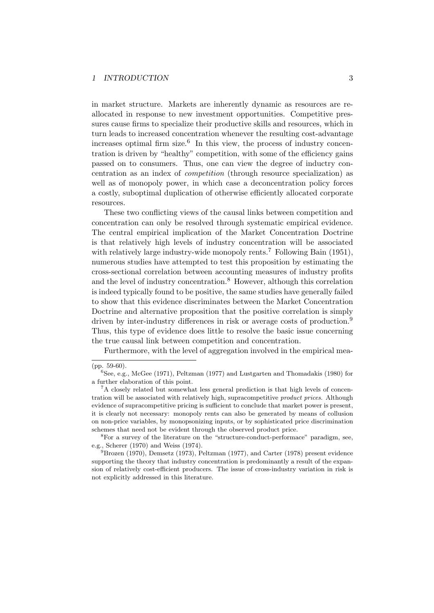in market structure. Markets are inherently dynamic as resources are reallocated in response to new investment opportunities. Competitive pressures cause firms to specialize their productive skills and resources, which in turn leads to increased concentration whenever the resulting cost-advantage increases optimal firm size.<sup>6</sup> In this view, the process of industry concentration is driven by "healthy" competition, with some of the efficiency gains passed on to consumers. Thus, one can view the degree of inductry concentration as an index of competition (through resource specialization) as well as of monopoly power, in which case a deconcentration policy forces a costly, suboptimal duplication of otherwise efficiently allocated corporate resources.

These two conflicting views of the causal links between competition and concentration can only be resolved through systematic empirical evidence. The central empirical implication of the Market Concentration Doctrine is that relatively high levels of industry concentration will be associated with relatively large industry-wide monopoly rents.<sup>7</sup> Following Bain (1951), numerous studies have attempted to test this proposition by estimating the cross-sectional correlation between accounting measures of industry profits and the level of industry concentration.<sup>8</sup> However, although this correlation is indeed typically found to be positive, the same studies have generally failed to show that this evidence discriminates between the Market Concentration Doctrine and alternative proposition that the positive correlation is simply driven by inter-industry differences in risk or average costs of production.<sup>9</sup> Thus, this type of evidence does little to resolve the basic issue concerning the true causal link between competition and concentration.

Furthermore, with the level of aggregation involved in the empirical mea-

<sup>(</sup>pp. 59-60).

 ${}^{6}$ See, e.g., McGee (1971), Peltzman (1977) and Lustgarten and Thomadakis (1980) for a further elaboration of this point.

<sup>7</sup>A closely related but somewhat less general prediction is that high levels of concentration will be associated with relatively high, supracompetitive product prices. Although evidence of supracompetitive pricing is sufficient to conclude that market power is present, it is clearly not necessary: monopoly rents can also be generated by means of collusion on non-price variables, by monopsonizing inputs, or by sophisticated price discrimination schemes that need not be evident through the observed product price.

 ${}^{8}$  For a survey of the literature on the "structure-conduct-performace" paradigm, see, e.g., Scherer (1970) and Weiss (1974).

 $^{9}$ Brozen (1970), Demsetz (1973), Peltzman (1977), and Carter (1978) present evidence supporting the theory that industry concentration is predominantly a result of the expansion of relatively cost-efficient producers. The issue of cross-industry variation in risk is not explicitly addressed in this literature.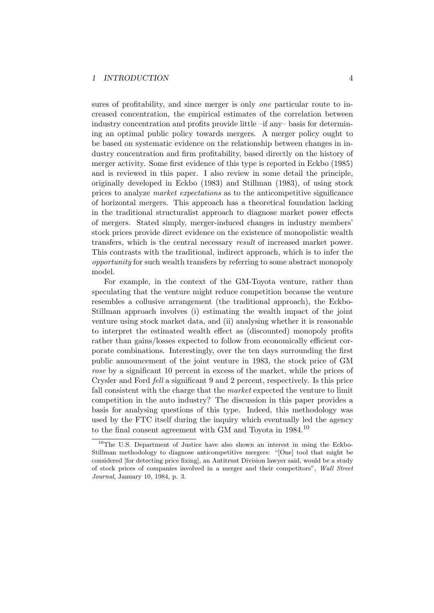sures of profitability, and since merger is only *one* particular route to increased concentration, the empirical estimates of the correlation between industry concentration and profits provide little –if any– basis for determining an optimal public policy towards mergers. A merger policy ought to be based on systematic evidence on the relationship between changes in industry concentration and firm profitability, based directly on the history of merger activity. Some first evidence of this type is reported in Eckbo (1985) and is reviewed in this paper. I also review in some detail the principle, originally developed in Eckbo (1983) and Stillman (1983), of using stock prices to analyze market expectations as to the anticompetitive significance of horizontal mergers. This approach has a theoretical foundation lacking in the traditional structuralist approach to diagnose market power effects of mergers. Stated simply, merger-induced changes in industry members' stock prices provide direct evidence on the existence of monopolistic wealth transfers, which is the central necessary result of increased market power. This contrasts with the traditional, indirect approach, which is to infer the opportunity for such wealth transfers by referring to some abstract monopoly model.

For example, in the context of the GM-Toyota venture, rather than speculating that the venture might reduce competition because the venture resembles a collusive arrangement (the traditional approach), the Eckbo-Stillman approach involves (i) estimating the wealth impact of the joint venture using stock market data, and (ii) analysing whether it is reasonable to interpret the estimated wealth effect as (discounted) monopoly profits rather than gains/losses expected to follow from economically efficient corporate combinations. Interestingly, over the ten days surrounding the first public announcement of the joint venture in 1983, the stock price of GM rose by a significant 10 percent in excess of the market, while the prices of Crysler and Ford fell a significant 9 and 2 percent, respectively. Is this price fall consistent with the charge that the market expected the venture to limit competition in the auto industry? The discussion in this paper provides a basis for analysing questions of this type. Indeed, this methodology was used by the FTC itself during the inquiry which eventually led the agency to the final consent agreement with GM and Toyota in 1984.<sup>10</sup>

<sup>&</sup>lt;sup>10</sup>The U.S. Department of Justice have also shown an interest in using the Eckbo-Stillman methodology to diagnose anticompetitive mergers: "[One] tool that might be considered [for detecting price fixing], an Antitrust Division lawyer said, would be a study of stock prices of companies involved in a merger and their competitors", Wall Street Journal, January 10, 1984, p. 3.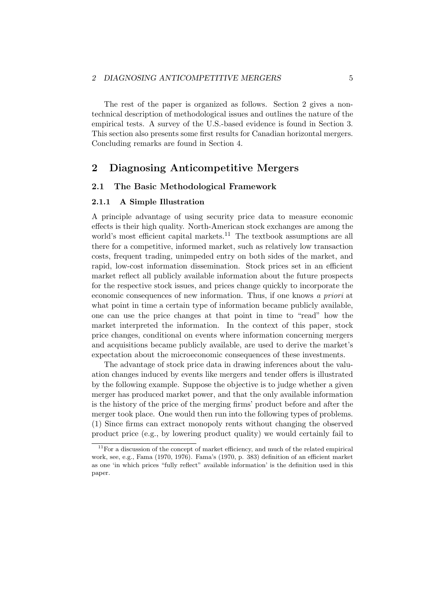The rest of the paper is organized as follows. Section 2 gives a nontechnical description of methodological issues and outlines the nature of the empirical tests. A survey of the U.S.-based evidence is found in Section 3. This section also presents some first results for Canadian horizontal mergers. Concluding remarks are found in Section 4.

# 2 Diagnosing Anticompetitive Mergers

# 2.1 The Basic Methodological Framework

#### 2.1.1 A Simple Illustration

A principle advantage of using security price data to measure economic effects is their high quality. North-American stock exchanges are among the world's most efficient capital markets.<sup>11</sup> The textbook assumptions are all there for a competitive, informed market, such as relatively low transaction costs, frequent trading, unimpeded entry on both sides of the market, and rapid, low-cost information dissemination. Stock prices set in an efficient market reflect all publicly available information about the future prospects for the respective stock issues, and prices change quickly to incorporate the economic consequences of new information. Thus, if one knows a priori at what point in time a certain type of information became publicly available, one can use the price changes at that point in time to "read" how the market interpreted the information. In the context of this paper, stock price changes, conditional on events where information concerning mergers and acquisitions became publicly available, are used to derive the market's expectation about the microeconomic consequences of these investments.

The advantage of stock price data in drawing inferences about the valuation changes induced by events like mergers and tender offers is illustrated by the following example. Suppose the objective is to judge whether a given merger has produced market power, and that the only available information is the history of the price of the merging firms' product before and after the merger took place. One would then run into the following types of problems. (1) Since firms can extract monopoly rents without changing the observed product price (e.g., by lowering product quality) we would certainly fail to

 $11$  For a discussion of the concept of market efficiency, and much of the related empirical work, see, e.g., Fama (1970, 1976). Fama's (1970, p. 383) definition of an efficient market as one 'in which prices "fully reflect" available information' is the definition used in this paper.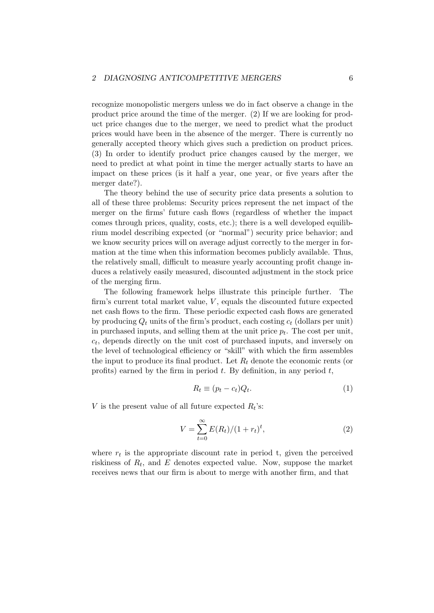recognize monopolistic mergers unless we do in fact observe a change in the product price around the time of the merger. (2) If we are looking for product price changes due to the merger, we need to predict what the product prices would have been in the absence of the merger. There is currently no generally accepted theory which gives such a prediction on product prices. (3) In order to identify product price changes caused by the merger, we need to predict at what point in time the merger actually starts to have an impact on these prices (is it half a year, one year, or five years after the merger date?).

The theory behind the use of security price data presents a solution to all of these three problems: Security prices represent the net impact of the merger on the firms' future cash flows (regardless of whether the impact comes through prices, quality, costs, etc.); there is a well developed equilibrium model describing expected (or "normal") security price behavior; and we know security prices will on average adjust correctly to the merger in formation at the time when this information becomes publicly available. Thus, the relatively small, difficult to measure yearly accounting profit change induces a relatively easily measured, discounted adjustment in the stock price of the merging firm.

The following framework helps illustrate this principle further. The firm's current total market value,  $V$ , equals the discounted future expected net cash flows to the firm. These periodic expected cash flows are generated by producing  $Q_t$  units of the firm's product, each costing  $c_t$  (dollars per unit) in purchased inputs, and selling them at the unit price  $p_t$ . The cost per unit,  $c_t$ , depends directly on the unit cost of purchased inputs, and inversely on the level of technological efficiency or "skill" with which the firm assembles the input to produce its final product. Let  $R_t$  denote the economic rents (or profits) earned by the firm in period  $t$ . By definition, in any period  $t$ ,

$$
R_t \equiv (p_t - c_t)Q_t. \tag{1}
$$

V is the present value of all future expected  $R_t$ 's:

$$
V = \sum_{t=0}^{\infty} E(R_t)/(1 + r_t)^t,
$$
\n(2)

where  $r_t$  is the appropriate discount rate in period t, given the perceived riskiness of  $R_t$ , and E denotes expected value. Now, suppose the market receives news that our firm is about to merge with another firm, and that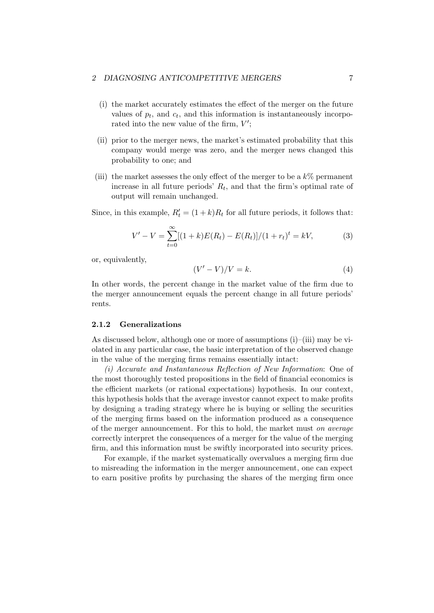- (i) the market accurately estimates the effect of the merger on the future values of  $p_t$ , and  $c_t$ , and this information is instantaneously incorporated into the new value of the firm,  $V'$ ;
- (ii) prior to the merger news, the market's estimated probability that this company would merge was zero, and the merger news changed this probability to one; and
- (iii) the market assesses the only effect of the merger to be a  $k\%$  permanent increase in all future periods'  $R_t$ , and that the firm's optimal rate of output will remain unchanged.

Since, in this example,  $R'_t = (1 + k)R_t$  for all future periods, it follows that:

$$
V' - V = \sum_{t=0}^{\infty} [(1+k)E(R_t) - E(R_t)]/(1+r_t)^t = kV,
$$
\n(3)

or, equivalently,

$$
(V'-V)/V=k.\t\t(4)
$$

In other words, the percent change in the market value of the firm due to the merger announcement equals the percent change in all future periods' rents.

### 2.1.2 Generalizations

As discussed below, although one or more of assumptions (i)–(iii) may be violated in any particular case, the basic interpretation of the observed change in the value of the merging firms remains essentially intact:

(i) Accurate and Instantaneous Reflection of New Information: One of the most thoroughly tested propositions in the field of financial economics is the efficient markets (or rational expectations) hypothesis. In our context, this hypothesis holds that the average investor cannot expect to make profits by designing a trading strategy where he is buying or selling the securities of the merging firms based on the information produced as a consequence of the merger announcement. For this to hold, the market must on average correctly interpret the consequences of a merger for the value of the merging firm, and this information must be swiftly incorporated into security prices.

For example, if the market systematically overvalues a merging firm due to misreading the information in the merger announcement, one can expect to earn positive profits by purchasing the shares of the merging firm once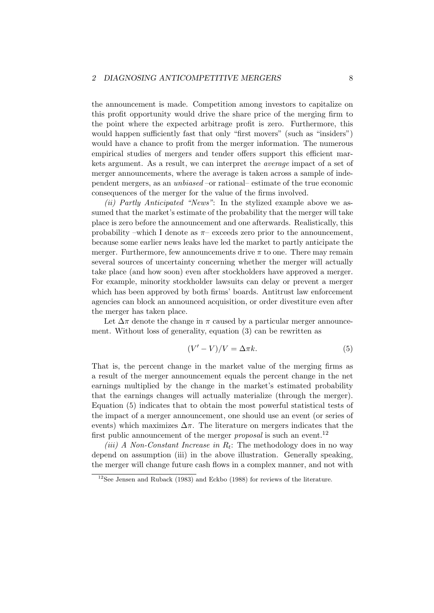the announcement is made. Competition among investors to capitalize on this profit opportunity would drive the share price of the merging firm to the point where the expected arbitrage profit is zero. Furthermore, this would happen sufficiently fast that only "first movers" (such as "insiders") would have a chance to profit from the merger information. The numerous empirical studies of mergers and tender offers support this efficient markets argument. As a result, we can interpret the average impact of a set of merger announcements, where the average is taken across a sample of independent mergers, as an unbiased –or rational– estimate of the true economic consequences of the merger for the value of the firms involved.

(ii) Partly Anticipated "News": In the stylized example above we assumed that the market's estimate of the probability that the merger will take place is zero before the announcement and one afterwards. Realistically, this probability –which I denote as  $\pi$ – exceeds zero prior to the announcement, because some earlier news leaks have led the market to partly anticipate the merger. Furthermore, few announcements drive  $\pi$  to one. There may remain several sources of uncertainty concerning whether the merger will actually take place (and how soon) even after stockholders have approved a merger. For example, minority stockholder lawsuits can delay or prevent a merger which has been approved by both firms' boards. Antitrust law enforcement agencies can block an announced acquisition, or order divestiture even after the merger has taken place.

Let  $\Delta \pi$  denote the change in  $\pi$  caused by a particular merger announcement. Without loss of generality, equation (3) can be rewritten as

$$
(V'-V)/V = \Delta \pi k. \tag{5}
$$

That is, the percent change in the market value of the merging firms as a result of the merger announcement equals the percent change in the net earnings multiplied by the change in the market's estimated probability that the earnings changes will actually materialize (through the merger). Equation (5) indicates that to obtain the most powerful statistical tests of the impact of a merger announcement, one should use an event (or series of events) which maximizes  $\Delta \pi$ . The literature on mergers indicates that the first public announcement of the merger *proposal* is such an event.<sup>12</sup>

(iii) A Non-Constant Increase in  $R_t$ : The methodology does in no way depend on assumption (iii) in the above illustration. Generally speaking, the merger will change future cash flows in a complex manner, and not with

<sup>12</sup>See Jensen and Ruback (1983) and Eckbo (1988) for reviews of the literature.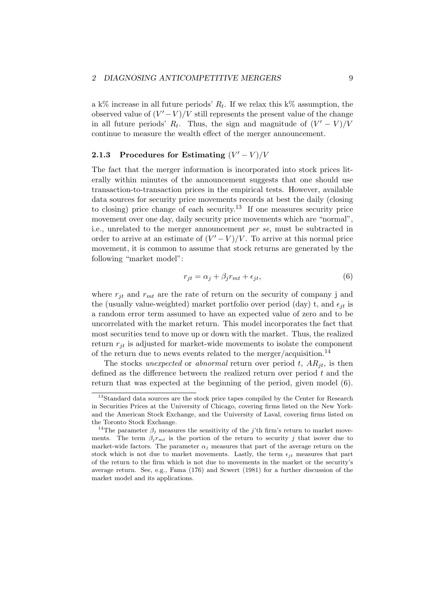a k% increase in all future periods'  $R_t$ . If we relax this k% assumption, the observed value of  $(V'-V)/V$  still represents the present value of the change in all future periods'  $R_t$ . Thus, the sign and magnitude of  $(V'-V)/V$ continue to measure the wealth effect of the merger announcement.

# 2.1.3 Procedures for Estimating  $(V'-V)/V$

The fact that the merger information is incorporated into stock prices literally within minutes of the announcement suggests that one should use transaction-to-transaction prices in the empirical tests. However, available data sources for security price movements records at best the daily (closing to closing) price change of each security.<sup>13</sup> If one measures security price movement over one day, daily security price movements which are "normal", i.e., unrelated to the merger announcement per se, must be subtracted in order to arrive at an estimate of  $(V'-V)/V$ . To arrive at this normal price movement, it is common to assume that stock returns are generated by the following "market model":

$$
r_{jt} = \alpha_j + \beta_j r_{mt} + \epsilon_{jt},\tag{6}
$$

where  $r_{it}$  and  $r_{mt}$  are the rate of return on the security of company j and the (usually value-weighted) market portfolio over period (day) t, and  $\epsilon_{it}$  is a random error term assumed to have an expected value of zero and to be uncorrelated with the market return. This model incorporates the fact that most securities tend to move up or down with the market. Thus, the realized return  $r_{it}$  is adjusted for market-wide movements to isolate the component of the return due to news events related to the merger/acquisition.<sup>14</sup>

The stocks unexpected or abnormal return over period t,  $AR_{it}$ , is then defined as the difference between the realized return over period  $t$  and the return that was expected at the beginning of the period, given model (6).

<sup>&</sup>lt;sup>13</sup>Standard data sources are the stock price tapes compiled by the Center for Research in Securities Prices at the University of Chicago, covering firms listed on the New Yorkand the American Stock Exchange, and the University of Laval, covering firms listed on the Toronto Stock Exchange.

<sup>&</sup>lt;sup>14</sup>The parameter  $\beta_i$  measures the sensitivity of the j'th firm's return to market movements. The term  $\beta_j r_{mt}$  is the portion of the return to security j that isover due to market-wide factors. The parameter  $\alpha_j$  measures that part of the average return on the stock which is not due to market movements. Lastly, the term  $\epsilon_{jt}$  measures that part of the return to the firm which is not due to movements in the market or the security's average return. See, e.g., Fama (176) and Scwert (1981) for a further discussion of the market model and its applications.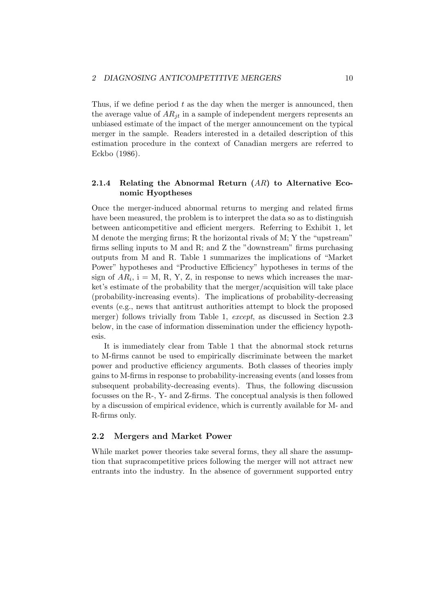Thus, if we define period  $t$  as the day when the merger is announced, then the average value of  $AR_{it}$  in a sample of independent mergers represents an unbiased estimate of the impact of the merger announcement on the typical merger in the sample. Readers interested in a detailed description of this estimation procedure in the context of Canadian mergers are referred to Eckbo (1986).

# 2.1.4 Relating the Abnormal Return  $(AR)$  to Alternative Economic Hyoptheses

Once the merger-induced abnormal returns to merging and related firms have been measured, the problem is to interpret the data so as to distinguish between anticompetitive and efficient mergers. Referring to Exhibit 1, let M denote the merging firms; R the horizontal rivals of M; Y the "upstream" firms selling inputs to M and R; and Z the "downstream" firms purchasing outputs from M and R. Table 1 summarizes the implications of "Market Power" hypotheses and "Productive Efficiency" hypotheses in terms of the sign of  $AR_i$ , i = M, R, Y, Z, in response to news which increases the market's estimate of the probability that the merger/acquisition will take place (probability-increasing events). The implications of probability-decreasing events (e.g., news that antitrust authorities attempt to block the proposed merger) follows trivially from Table 1, except, as discussed in Section 2.3 below, in the case of information dissemination under the efficiency hypothesis.

It is immediately clear from Table 1 that the abnormal stock returns to M-firms cannot be used to empirically discriminate between the market power and productive efficiency arguments. Both classes of theories imply gains to M-firms in response to probability-increasing events (and losses from subsequent probability-decreasing events). Thus, the following discussion focusses on the R-, Y- and Z-firms. The conceptual analysis is then followed by a discussion of empirical evidence, which is currently available for M- and R-firms only.

## 2.2 Mergers and Market Power

While market power theories take several forms, they all share the assumption that supracompetitive prices following the merger will not attract new entrants into the industry. In the absence of government supported entry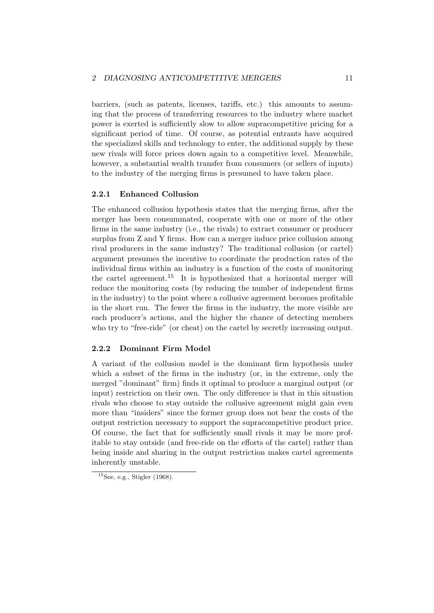barriers, (such as patents, licenses, tariffs, etc.) this amounts to assuming that the process of transferring resources to the industry where market power is exerted is sufficiently slow to allow supracompetitive pricing for a significant period of time. Of course, as potential entrants have acquired the specialized skills and technology to enter, the additional supply by these new rivals will force prices down again to a competitive level. Meanwhile, however, a substantial wealth transfer from consumers (or sellers of inputs) to the industry of the merging firms is presumed to have taken place.

### 2.2.1 Enhanced Collusion

The enhanced collusion hypothesis states that the merging firms, after the merger has been consummated, cooperate with one or more of the other firms in the same industry (i.e., the rivals) to extract consumer or producer surplus from Z and Y firms. How can a merger induce price collusion among rival producers in the same industry? The traditional collusion (or cartel) argument presumes the incentive to coordinate the production rates of the individual firms within an industry is a function of the costs of monitoring the cartel agreement.<sup>15</sup> It is hypothesized that a horizontal merger will reduce the monitoring costs (by reducing the number of independent firms in the industry) to the point where a collusive agreement becomes profitable in the short run. The fewer the firms in the industry, the more visible are each producer's actions, and the higher the chance of detecting members who try to "free-ride" (or cheat) on the cartel by secretly increasing output.

### 2.2.2 Dominant Firm Model

A variant of the collusion model is the dominant firm hypothesis under which a subset of the firms in the industry (or, in the extreme, only the merged "dominant" firm) finds it optimal to produce a marginal output (or input) restriction on their own. The only difference is that in this situation rivals who choose to stay outside the collusive agreement might gain even more than "insiders" since the former group does not bear the costs of the output restriction necessary to support the supracompetitive product price. Of course, the fact that for sufficiently small rivals it may be more profitable to stay outside (and free-ride on the efforts of the cartel) rather than being inside and sharing in the output restriction makes cartel agreements inherently unstable.

 $15$ See, e.g., Stigler (1968).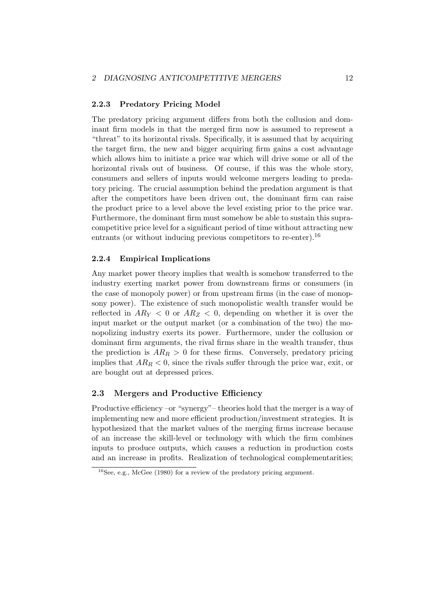#### 2.2.3 Predatory Pricing Model

The predatory pricing argument differs from both the collusion and dominant firm models in that the merged firm now is assumed to represent a "threat" to its horizontal rivals. Specifically, it is assumed that by acquiring the target firm, the new and bigger acquiring firm gains a cost advantage which allows him to initiate a price war which will drive some or all of the horizontal rivals out of business. Of course, if this was the whole story, consumers and sellers of inputs would welcome mergers leading to predatory pricing. The crucial assumption behind the predation argument is that after the competitors have been driven out, the dominant firm can raise the product price to a level above the level existing prior to the price war. Furthermore, the dominant firm must somehow be able to sustain this supracompetitive price level for a significant period of time without attracting new entrants (or without inducing previous competitors to re-enter).<sup>16</sup>

# 2.2.4 Empirical Implications

Any market power theory implies that wealth is somehow transferred to the industry exerting market power from downstream firms or consumers (in the case of monopoly power) or from upstream firms (in the case of monopsony power). The existence of such monopolistic wealth transfer would be reflected in  $AR_Y < 0$  or  $AR_Z < 0$ , depending on whether it is over the input market or the output market (or a combination of the two) the monopolizing industry exerts its power. Furthermore, under the collusion or dominant firm arguments, the rival firms share in the wealth transfer, thus the prediction is  $AR_R > 0$  for these firms. Conversely, predatory pricing implies that  $AR_R < 0$ , since the rivals suffer through the price war, exit, or are bought out at depressed prices.

## 2.3 Mergers and Productive Efficiency

Productive efficiency –or "synergy"– theories hold that the merger is a way of implementing new and more efficient production/investment strategies. It is hypothesized that the market values of the merging firms increase because of an increase the skill-level or technology with which the firm combines inputs to produce outputs, which causes a reduction in production costs and an increase in profits. Realization of technological complementarities;

 $16$ See, e.g., McGee (1980) for a review of the predatory pricing argument.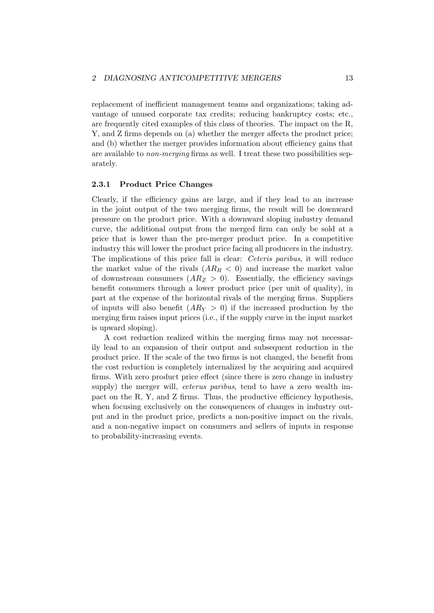replacement of inefficient management teams and organizations; taking advantage of unused corporate tax credits; reducing bankruptcy costs; etc., are frequently cited examples of this class of theories. The impact on the R, Y, and Z firms depends on (a) whether the merger affects the product price; and (b) whether the merger provides information about efficiency gains that are available to non-merging firms as well. I treat these two possibilities separately.

#### 2.3.1 Product Price Changes

Clearly, if the efficiency gains are large, and if they lead to an increase in the joint output of the two merging firms, the result will be downward pressure on the product price. With a downward sloping industry demand curve, the additional output from the merged firm can only be sold at a price that is lower than the pre-merger product price. In a competitive industry this will lower the product price facing all producers in the industry. The implications of this price fall is clear: Ceteris paribus, it will reduce the market value of the rivals  $(AR_R < 0)$  and increase the market value of downstream consumers  $(AR_Z > 0)$ . Essentially, the efficiency savings benefit consumers through a lower product price (per unit of quality), in part at the expense of the horizontal rivals of the merging firms. Suppliers of inputs will also benefit  $(AR_Y > 0)$  if the increased production by the merging firm raises input prices (i.e., if the supply curve in the input market is upward sloping).

A cost reduction realized within the merging firms may not necessarily lead to an expansion of their output and subsequent reduction in the product price. If the scale of the two firms is not changed, the benefit from the cost reduction is completely internalized by the acquiring and acquired firms. With zero product price effect (since there is zero change in industry supply) the merger will, *ceterus paribus*, tend to have a zero wealth impact on the R, Y, and Z firms. Thus, the productive efficiency hypothesis, when focusing exclusively on the consequences of changes in industry output and in the product price, predicts a non-positive impact on the rivals, and a non-negative impact on consumers and sellers of inputs in response to probability-increasing events.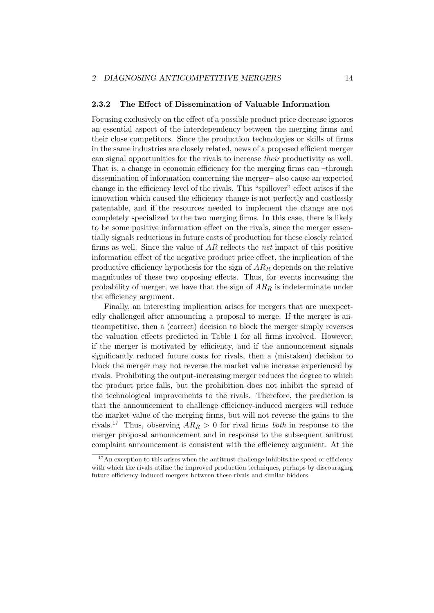#### 2.3.2 The Effect of Dissemination of Valuable Information

Focusing exclusively on the effect of a possible product price decrease ignores an essential aspect of the interdependency between the merging firms and their close competitors. Since the production technologies or skills of firms in the same industries are closely related, news of a proposed efficient merger can signal opportunities for the rivals to increase their productivity as well. That is, a change in economic efficiency for the merging firms can –through dissemination of information concerning the merger– also cause an expected change in the efficiency level of the rivals. This "spillover" effect arises if the innovation which caused the efficiency change is not perfectly and costlessly patentable, and if the resources needed to implement the change are not completely specialized to the two merging firms. In this case, there is likely to be some positive information effect on the rivals, since the merger essentially signals reductions in future costs of production for these closely related firms as well. Since the value of  $AR$  reflects the net impact of this positive information effect of the negative product price effect, the implication of the productive efficiency hypothesis for the sign of  $AR_R$  depends on the relative magnitudes of these two opposing effects. Thus, for events increasing the probability of merger, we have that the sign of  $AR_R$  is indeterminate under the efficiency argument.

Finally, an interesting implication arises for mergers that are unexpectedly challenged after announcing a proposal to merge. If the merger is anticompetitive, then a (correct) decision to block the merger simply reverses the valuation effects predicted in Table 1 for all firms involved. However, if the merger is motivated by efficiency, and if the announcement signals significantly reduced future costs for rivals, then a (mistaken) decision to block the merger may not reverse the market value increase experienced by rivals. Prohibiting the output-increasing merger reduces the degree to which the product price falls, but the prohibition does not inhibit the spread of the technological improvements to the rivals. Therefore, the prediction is that the announcement to challenge efficiency-induced mergers will reduce the market value of the merging firms, but will not reverse the gains to the rivals.<sup>17</sup> Thus, observing  $AR_R > 0$  for rival firms *both* in response to the merger proposal announcement and in response to the subsequent anitrust complaint announcement is consistent with the efficiency argument. At the

<sup>&</sup>lt;sup>17</sup>An exception to this arises when the antitrust challenge inhibits the speed or efficiency with which the rivals utilize the improved production techniques, perhaps by discouraging future efficiency-induced mergers between these rivals and similar bidders.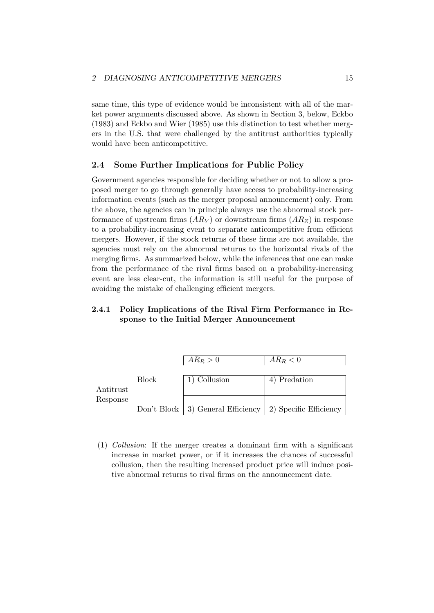same time, this type of evidence would be inconsistent with all of the market power arguments discussed above. As shown in Section 3, below, Eckbo (1983) and Eckbo and Wier (1985) use this distinction to test whether mergers in the U.S. that were challenged by the antitrust authorities typically would have been anticompetitive.

## 2.4 Some Further Implications for Public Policy

Government agencies responsible for deciding whether or not to allow a proposed merger to go through generally have access to probability-increasing information events (such as the merger proposal announcement) only. From the above, the agencies can in principle always use the abnormal stock performance of upstream firms  $(AR<sub>Y</sub>)$  or downstream firms  $(AR<sub>Z</sub>)$  in response to a probability-increasing event to separate anticompetitive from efficient mergers. However, if the stock returns of these firms are not available, the agencies must rely on the abnormal returns to the horizontal rivals of the merging firms. As summarized below, while the inferences that one can make from the performance of the rival firms based on a probability-increasing event are less clear-cut, the information is still useful for the purpose of avoiding the mistake of challenging efficient mergers.

# 2.4.1 Policy Implications of the Rival Firm Performance in Response to the Initial Merger Announcement

|           |              | $AR_R > 0$                                                   | $AR_R < 0$   |
|-----------|--------------|--------------------------------------------------------------|--------------|
|           | <b>Block</b> | 1) Collusion                                                 | 4) Predation |
| Antitrust |              |                                                              |              |
| Response  |              | Don't Block   3) General Efficiency   2) Specific Efficiency |              |

(1) Collusion: If the merger creates a dominant firm with a significant increase in market power, or if it increases the chances of successful collusion, then the resulting increased product price will induce positive abnormal returns to rival firms on the announcement date.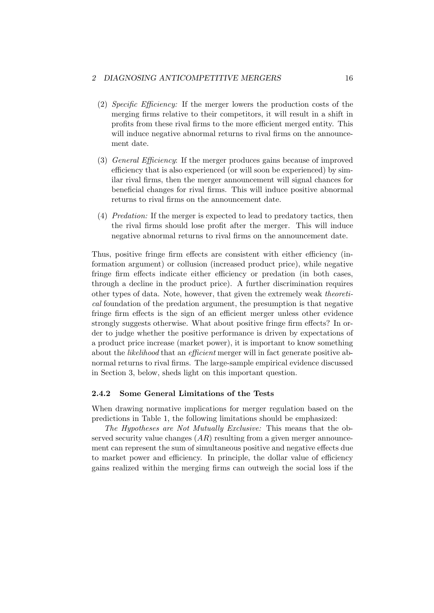#### 2 DIAGNOSING ANTICOMPETITIVE MERGERS 16

- (2) Specific Efficiency: If the merger lowers the production costs of the merging firms relative to their competitors, it will result in a shift in profits from these rival firms to the more efficient merged entity. This will induce negative abnormal returns to rival firms on the announcement date.
- (3) General Efficiency: If the merger produces gains because of improved efficiency that is also experienced (or will soon be experienced) by similar rival firms, then the merger announcement will signal chances for beneficial changes for rival firms. This will induce positive abnormal returns to rival firms on the announcement date.
- (4) Predation: If the merger is expected to lead to predatory tactics, then the rival firms should lose profit after the merger. This will induce negative abnormal returns to rival firms on the announcement date.

Thus, positive fringe firm effects are consistent with either efficiency (information argument) or collusion (increased product price), while negative fringe firm effects indicate either efficiency or predation (in both cases, through a decline in the product price). A further discrimination requires other types of data. Note, however, that given the extremely weak theoretical foundation of the predation argument, the presumption is that negative fringe firm effects is the sign of an efficient merger unless other evidence strongly suggests otherwise. What about positive fringe firm effects? In order to judge whether the positive performance is driven by expectations of a product price increase (market power), it is important to know something about the likelihood that an efficient merger will in fact generate positive abnormal returns to rival firms. The large-sample empirical evidence discussed in Section 3, below, sheds light on this important question.

#### 2.4.2 Some General Limitations of the Tests

When drawing normative implications for merger regulation based on the predictions in Table 1, the following limitations should be emphasized:

The Hypotheses are Not Mutually Exclusive: This means that the observed security value changes  $(AR)$  resulting from a given merger announcement can represent the sum of simultaneous positive and negative effects due to market power and efficiency. In principle, the dollar value of efficiency gains realized within the merging firms can outweigh the social loss if the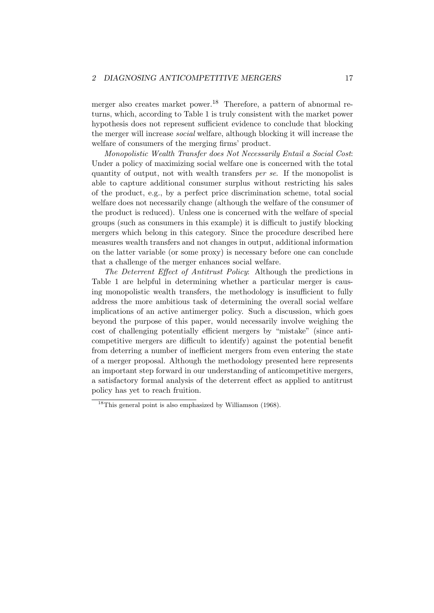merger also creates market power.<sup>18</sup> Therefore, a pattern of abnormal returns, which, according to Table 1 is truly consistent with the market power hypothesis does not represent sufficient evidence to conclude that blocking the merger will increase social welfare, although blocking it will increase the welfare of consumers of the merging firms' product.

Monopolistic Wealth Transfer does Not Necessarily Entail a Social Cost: Under a policy of maximizing social welfare one is concerned with the total quantity of output, not with wealth transfers per se. If the monopolist is able to capture additional consumer surplus without restricting his sales of the product, e.g., by a perfect price discrimination scheme, total social welfare does not necessarily change (although the welfare of the consumer of the product is reduced). Unless one is concerned with the welfare of special groups (such as consumers in this example) it is difficult to justify blocking mergers which belong in this category. Since the procedure described here measures wealth transfers and not changes in output, additional information on the latter variable (or some proxy) is necessary before one can conclude that a challenge of the merger enhances social welfare.

The Deterrent Effect of Antitrust Policy: Although the predictions in Table 1 are helpful in determining whether a particular merger is causing monopolistic wealth transfers, the methodology is insufficient to fully address the more ambitious task of determining the overall social welfare implications of an active antimerger policy. Such a discussion, which goes beyond the purpose of this paper, would necessarily involve weighing the cost of challenging potentially efficient mergers by "mistake" (since anticompetitive mergers are difficult to identify) against the potential benefit from deterring a number of inefficient mergers from even entering the state of a merger proposal. Although the methodology presented here represents an important step forward in our understanding of anticompetitive mergers, a satisfactory formal analysis of the deterrent effect as applied to antitrust policy has yet to reach fruition.

<sup>&</sup>lt;sup>18</sup>This general point is also emphasized by Williamson (1968).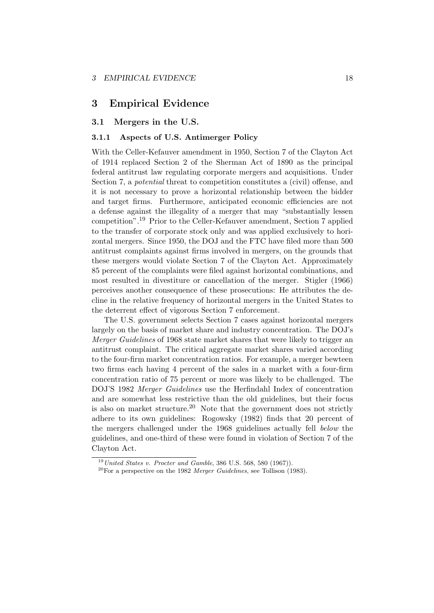# 3 Empirical Evidence

### 3.1 Mergers in the U.S.

## 3.1.1 Aspects of U.S. Antimerger Policy

With the Celler-Kefauver amendment in 1950, Section 7 of the Clayton Act of 1914 replaced Section 2 of the Sherman Act of 1890 as the principal federal antitrust law regulating corporate mergers and acquisitions. Under Section 7, a potential threat to competition constitutes a (civil) offense, and it is not necessary to prove a horizontal relationship between the bidder and target firms. Furthermore, anticipated economic efficiencies are not a defense against the illegality of a merger that may "substantially lessen competition".<sup>19</sup> Prior to the Celler-Kefauver amendment, Section 7 applied to the transfer of corporate stock only and was applied exclusively to horizontal mergers. Since 1950, the DOJ and the FTC have filed more than 500 antitrust complaints against firms involved in mergers, on the grounds that these mergers would violate Section 7 of the Clayton Act. Approximately 85 percent of the complaints were filed against horizontal combinations, and most resulted in divestiture or cancellation of the merger. Stigler (1966) perceives another consequence of these prosecutions: He attributes the decline in the relative frequency of horizontal mergers in the United States to the deterrent effect of vigorous Section 7 enforcement.

The U.S. government selects Section 7 cases against horizontal mergers largely on the basis of market share and industry concentration. The DOJ's Merger Guidelines of 1968 state market shares that were likely to trigger an antitrust complaint. The critical aggregate market shares varied according to the four-firm market concentration ratios. For example, a merger bewteen two firms each having 4 percent of the sales in a market with a four-firm concentration ratio of 75 percent or more was likely to be challenged. The DOJ'S 1982 Merger Guidelines use the Herfindahl Index of concentration and are somewhat less restrictive than the old guidelines, but their focus is also on market structure.<sup>20</sup> Note that the government does not strictly adhere to its own guidelines: Rogowsky (1982) finds that 20 percent of the mergers challenged under the 1968 guidelines actually fell below the guidelines, and one-third of these were found in violation of Section 7 of the Clayton Act.

 $19$  United States v. Procter and Gamble, 386 U.S. 568, 580 (1967)).

 $^{20}$ For a perspective on the 1982 Merger Guidelines, see Tollison (1983).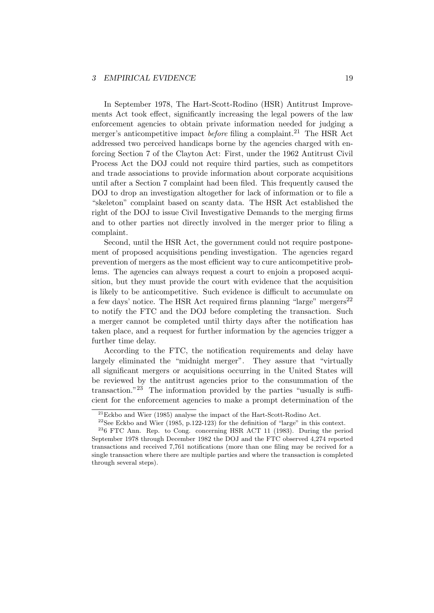In September 1978, The Hart-Scott-Rodino (HSR) Antitrust Improvements Act took effect, significantly increasing the legal powers of the law enforcement agencies to obtain private information needed for judging a merger's anticompetitive impact *before* filing a complaint.<sup>21</sup> The HSR Act addressed two perceived handicaps borne by the agencies charged with enforcing Section 7 of the Clayton Act: First, under the 1962 Antitrust Civil Process Act the DOJ could not require third parties, such as competitors and trade associations to provide information about corporate acquisitions until after a Section 7 complaint had been filed. This frequently caused the DOJ to drop an investigation altogether for lack of information or to file a "skeleton" complaint based on scanty data. The HSR Act established the right of the DOJ to issue Civil Investigative Demands to the merging firms and to other parties not directly involved in the merger prior to filing a complaint.

Second, until the HSR Act, the government could not require postponement of proposed acquisitions pending investigation. The agencies regard prevention of mergers as the most efficient way to cure anticompetitive problems. The agencies can always request a court to enjoin a proposed acquisition, but they must provide the court with evidence that the acquisition is likely to be anticompetitive. Such evidence is difficult to accumulate on a few days' notice. The HSR Act required firms planning "large" mergers<sup>22</sup> to notify the FTC and the DOJ before completing the transaction. Such a merger cannot be completed until thirty days after the notification has taken place, and a request for further information by the agencies trigger a further time delay.

According to the FTC, the notification requirements and delay have largely eliminated the "midnight merger". They assure that "virtually all significant mergers or acquisitions occurring in the United States will be reviewed by the antitrust agencies prior to the consummation of the transaction."<sup>23</sup> The information provided by the parties "usually is sufficient for the enforcement agencies to make a prompt determination of the

 $^{21}$ Eckbo and Wier (1985) analyse the impact of the Hart-Scott-Rodino Act.

<sup>&</sup>lt;sup>22</sup>See Eckbo and Wier (1985, p.122-123) for the definition of "large" in this context.

<sup>&</sup>lt;sup>23</sup>6 FTC Ann. Rep. to Cong. concerning HSR ACT 11 (1983). During the period September 1978 through December 1982 the DOJ and the FTC observed 4,274 reported transactions and received 7,761 notifications (more than one filing may be recived for a single transaction where there are multiple parties and where the transaction is completed through several steps).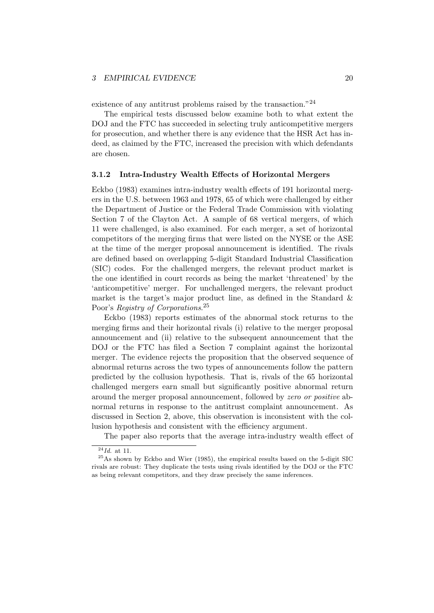existence of any antitrust problems raised by the transaction."<sup>24</sup>

The empirical tests discussed below examine both to what extent the DOJ and the FTC has succeeded in selecting truly anticompetitive mergers for prosecution, and whether there is any evidence that the HSR Act has indeed, as claimed by the FTC, increased the precision with which defendants are chosen.

#### 3.1.2 Intra-Industry Wealth Effects of Horizontal Mergers

Eckbo (1983) examines intra-industry wealth effects of 191 horizontal mergers in the U.S. between 1963 and 1978, 65 of which were challenged by either the Department of Justice or the Federal Trade Commission with violating Section 7 of the Clayton Act. A sample of 68 vertical mergers, of which 11 were challenged, is also examined. For each merger, a set of horizontal competitors of the merging firms that were listed on the NYSE or the ASE at the time of the merger proposal announcement is identified. The rivals are defined based on overlapping 5-digit Standard Industrial Classification (SIC) codes. For the challenged mergers, the relevant product market is the one identified in court records as being the market 'threatened' by the 'anticompetitive' merger. For unchallenged mergers, the relevant product market is the target's major product line, as defined in the Standard & Poor's Registry of Corporations.<sup>25</sup>

Eckbo (1983) reports estimates of the abnormal stock returns to the merging firms and their horizontal rivals (i) relative to the merger proposal announcement and (ii) relative to the subsequent announcement that the DOJ or the FTC has filed a Section 7 complaint against the horizontal merger. The evidence rejects the proposition that the observed sequence of abnormal returns across the two types of announcements follow the pattern predicted by the collusion hypothesis. That is, rivals of the 65 horizontal challenged mergers earn small but significantly positive abnormal return around the merger proposal announcement, followed by zero or positive abnormal returns in response to the antitrust complaint announcement. As discussed in Section 2, above, this observation is inconsistent with the collusion hypothesis and consistent with the efficiency argument.

The paper also reports that the average intra-industry wealth effect of

 $\overline{^{24}}$ *Id.* at 11.

 $^{25}$ As shown by Eckbo and Wier (1985), the empirical results based on the 5-digit SIC rivals are robust: They duplicate the tests using rivals identified by the DOJ or the FTC as being relevant competitors, and they draw precisely the same inferences.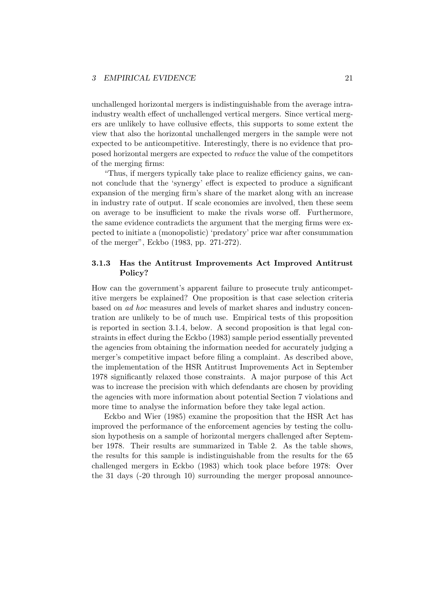unchallenged horizontal mergers is indistinguishable from the average intraindustry wealth effect of unchallenged vertical mergers. Since vertical mergers are unlikely to have collusive effects, this supports to some extent the view that also the horizontal unchallenged mergers in the sample were not expected to be anticompetitive. Interestingly, there is no evidence that proposed horizontal mergers are expected to reduce the value of the competitors of the merging firms:

"Thus, if mergers typically take place to realize efficiency gains, we cannot conclude that the 'synergy' effect is expected to produce a significant expansion of the merging firm's share of the market along with an increase in industry rate of output. If scale economies are involved, then these seem on average to be insufficient to make the rivals worse off. Furthermore, the same evidence contradicts the argument that the merging firms were expected to initiate a (monopolistic) 'predatory' price war after consummation of the merger", Eckbo (1983, pp. 271-272).

# 3.1.3 Has the Antitrust Improvements Act Improved Antitrust Policy?

How can the government's apparent failure to prosecute truly anticompetitive mergers be explained? One proposition is that case selection criteria based on ad hoc measures and levels of market shares and industry concentration are unlikely to be of much use. Empirical tests of this proposition is reported in section 3.1.4, below. A second proposition is that legal constraints in effect during the Eckbo (1983) sample period essentially prevented the agencies from obtaining the information needed for accurately judging a merger's competitive impact before filing a complaint. As described above, the implementation of the HSR Antitrust Improvements Act in September 1978 significantly relaxed those constraints. A major purpose of this Act was to increase the precision with which defendants are chosen by providing the agencies with more information about potential Section 7 violations and more time to analyse the information before they take legal action.

Eckbo and Wier (1985) examine the proposition that the HSR Act has improved the performance of the enforcement agencies by testing the collusion hypothesis on a sample of horizontal mergers challenged after September 1978. Their results are summarized in Table 2. As the table shows, the results for this sample is indistinguishable from the results for the 65 challenged mergers in Eckbo (1983) which took place before 1978: Over the 31 days (-20 through 10) surrounding the merger proposal announce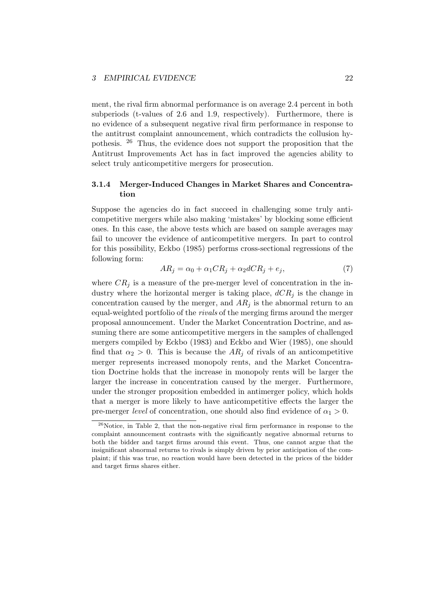ment, the rival firm abnormal performance is on average 2.4 percent in both subperiods (t-values of 2.6 and 1.9, respectively). Furthermore, there is no evidence of a subsequent negative rival firm performance in response to the antitrust complaint announcement, which contradicts the collusion hypothesis. <sup>26</sup> Thus, the evidence does not support the proposition that the Antitrust Improvements Act has in fact improved the agencies ability to select truly anticompetitive mergers for prosecution.

# 3.1.4 Merger-Induced Changes in Market Shares and Concentration

Suppose the agencies do in fact succeed in challenging some truly anticompetitive mergers while also making 'mistakes' by blocking some efficient ones. In this case, the above tests which are based on sample averages may fail to uncover the evidence of anticompetitive mergers. In part to control for this possibility, Eckbo (1985) performs cross-sectional regressions of the following form:

$$
AR_j = \alpha_0 + \alpha_1 CR_j + \alpha_2 dCR_j + e_j,\tag{7}
$$

where  $CR_i$  is a measure of the pre-merger level of concentration in the industry where the horizontal merger is taking place,  $dCR_i$  is the change in concentration caused by the merger, and  $AR_i$  is the abnormal return to an equal-weighted portfolio of the rivals of the merging firms around the merger proposal announcement. Under the Market Concentration Doctrine, and assuming there are some anticompetitive mergers in the samples of challenged mergers compiled by Eckbo (1983) and Eckbo and Wier (1985), one should find that  $\alpha_2 > 0$ . This is because the  $AR_i$  of rivals of an anticompetitive merger represents increased monopoly rents, and the Market Concentration Doctrine holds that the increase in monopoly rents will be larger the larger the increase in concentration caused by the merger. Furthermore, under the stronger proposition embedded in antimerger policy, which holds that a merger is more likely to have anticompetitive effects the larger the pre-merger *level* of concentration, one should also find evidence of  $\alpha_1 > 0$ .

 $26$ Notice, in Table 2, that the non-negative rival firm performance in response to the complaint announcement contrasts with the significantly negative abnormal returns to both the bidder and target firms around this event. Thus, one cannot argue that the insignificant abnormal returns to rivals is simply driven by prior anticipation of the complaint; if this was true, no reaction would have been detected in the prices of the bidder and target firms shares either.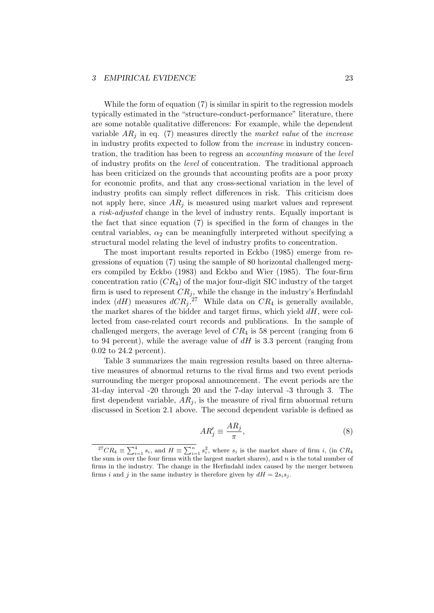While the form of equation (7) is similar in spirit to the regression models typically estimated in the "structure-conduct-performance" literature, there are some notable qualitative differences: For example, while the dependent variable  $AR_i$  in eq. (7) measures directly the market value of the increase in industry profits expected to follow from the increase in industry concentration, the tradition has been to regress an accounting measure of the level of industry profits on the level of concentration. The traditional approach has been criticized on the grounds that accounting profits are a poor proxy for economic profits, and that any cross-sectional variation in the level of industry profits can simply reflect differences in risk. This criticism does not apply here, since  $AR_i$  is measured using market values and represent a risk-adjusted change in the level of industry rents. Equally important is the fact that since equation (7) is specified in the form of changes in the central variables,  $\alpha_2$  can be meaningfully interpreted without specifying a structural model relating the level of industry profits to concentration.

The most important results reported in Eckbo (1985) emerge from regressions of equation (7) using the sample of 80 horizontal challenged mergers compiled by Eckbo (1983) and Eckbo and Wier (1985). The four-firm concentration ratio  $(CR_4)$  of the major four-digit SIC industry of the target firm is used to represent  $CR_j$ , while the change in the industry's Herfindahl index  $(dH)$  measures  $dCR_j$ .<sup>27</sup> While data on  $CR_4$  is generally available, the market shares of the bidder and target firms, which yield  $dH$ , were collected from case-related court records and publications. In the sample of challenged mergers, the average level of  $CR_4$  is 58 percent (ranging from 6 to 94 percent), while the average value of  $dH$  is 3.3 percent (ranging from 0.02 to 24.2 percent).

Table 3 summarizes the main regression results based on three alternative measures of abnormal returns to the rival firms and two event periods surrounding the merger proposal announcement. The event periods are the 31-day interval -20 through 20 and the 7-day interval -3 through 3. The first dependent variable,  $AR_i$ , is the measure of rival firm abnormal return discussed in Scetion 2.1 above. The second dependent variable is defined as

$$
AR_j' \equiv \frac{AR_j}{\pi},\tag{8}
$$

<sup>&</sup>lt;sup>27</sup>CR<sub>4</sub>  $\equiv \sum_{i=1}^{4} s_i$ , and  $H \equiv \sum_{i=1}^{n} s_i^2$ , where  $s_i$  is the market share of firm *i*, (in CR<sub>4</sub> the sum is over the four firms with the largest market shares), and  $n$  is the total number of firms in the industry. The change in the Herfindahl index caused by the merger between firms i and j in the same industry is therefore given by  $dH = 2s_i s_j$ .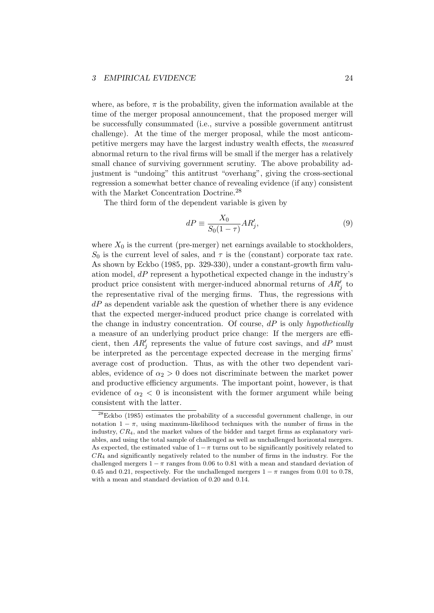where, as before,  $\pi$  is the probability, given the information available at the time of the merger proposal announcement, that the proposed merger will be successfully consummated (i.e., survive a possible government antitrust challenge). At the time of the merger proposal, while the most anticompetitive mergers may have the largest industry wealth effects, the measured abnormal return to the rival firms will be small if the merger has a relatively small chance of surviving government scrutiny. The above probability adjustment is "undoing" this antitrust "overhang", giving the cross-sectional regression a somewhat better chance of revealing evidence (if any) consistent with the Market Concentration Doctrine.<sup>28</sup>

The third form of the dependent variable is given by

$$
dP \equiv \frac{X_0}{S_0(1-\tau)} AR'_j,\tag{9}
$$

where  $X_0$  is the current (pre-merger) net earnings available to stockholders,  $S_0$  is the current level of sales, and  $\tau$  is the (constant) corporate tax rate. As shown by Eckbo (1985, pp. 329-330), under a constant-growth firm valuation model,  $dP$  represent a hypothetical expected change in the industry's product price consistent with merger-induced abnormal returns of  $AR'_{j}$  to the representative rival of the merging firms. Thus, the regressions with  $dP$  as dependent variable ask the question of whether there is any evidence that the expected merger-induced product price change is correlated with the change in industry concentration. Of course,  $dP$  is only hypothetically a measure of an underlying product price change: If the mergers are efficient, then  $AR'_j$  represents the value of future cost savings, and  $dP$  must be interpreted as the percentage expected decrease in the merging firms' average cost of production. Thus, as with the other two dependent variables, evidence of  $\alpha_2 > 0$  does not discriminate between the market power and productive efficiency arguments. The important point, however, is that evidence of  $\alpha_2 < 0$  is inconsistent with the former argument while being consistent with the latter.

<sup>28</sup>Eckbo (1985) estimates the probability of a successful government challenge, in our notation  $1 - \pi$ , using maximum-likelihood techniques with the number of firms in the industry, CR4, and the market values of the bidder and target firms as explanatory variables, and using the total sample of challenged as well as unchallenged horizontal mergers. As expected, the estimated value of  $1-\pi$  turns out to be significantly positively related to  $CR_4$  and significantly negatively related to the number of firms in the industry. For the challenged mergers  $1 - \pi$  ranges from 0.06 to 0.81 with a mean and standard deviation of 0.45 and 0.21, respectively. For the unchallenged mergers  $1 - \pi$  ranges from 0.01 to 0.78, with a mean and standard deviation of 0.20 and 0.14.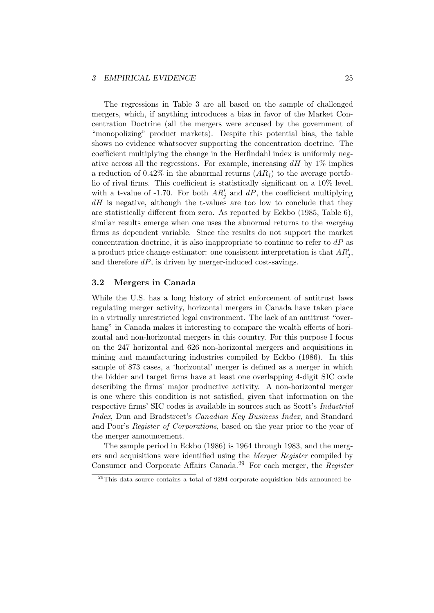The regressions in Table 3 are all based on the sample of challenged mergers, which, if anything introduces a bias in favor of the Market Concentration Doctrine (all the mergers were accused by the government of "monopolizing" product markets). Despite this potential bias, the table shows no evidence whatsoever supporting the concentration doctrine. The coefficient multiplying the change in the Herfindahl index is uniformly negative across all the regressions. For example, increasing  $dH$  by 1% implies a reduction of 0.42% in the abnormal returns  $(AR_i)$  to the average portfolio of rival firms. This coefficient is statistically significant on a 10% level, with a t-value of -1.70. For both  $AR'_j$  and  $dP$ , the coefficient multiplying  $dH$  is negative, although the t-values are too low to conclude that they are statistically different from zero. As reported by Eckbo (1985, Table 6), similar results emerge when one uses the abnormal returns to the *merging* firms as dependent variable. Since the results do not support the market concentration doctrine, it is also inappropriate to continue to refer to  $dP$  as a product price change estimator: one consistent interpretation is that  $AR'_{j}$ , and therefore  $dP$ , is driven by merger-induced cost-savings.

# 3.2 Mergers in Canada

While the U.S. has a long history of strict enforcement of antitrust laws regulating merger activity, horizontal mergers in Canada have taken place in a virtually unrestricted legal environment. The lack of an antitrust "overhang" in Canada makes it interesting to compare the wealth effects of horizontal and non-horizontal mergers in this country. For this purpose I focus on the 247 horizontal and 626 non-horizontal mergers and acquisitions in mining and manufacturing industries compiled by Eckbo (1986). In this sample of 873 cases, a 'horizontal' merger is defined as a merger in which the bidder and target firms have at least one overlapping 4-digit SIC code describing the firms' major productive activity. A non-horizontal merger is one where this condition is not satisfied, given that information on the respective firms' SIC codes is available in sources such as Scott's Industrial Index, Dun and Bradstreet's Canadian Key Business Index, and Standard and Poor's Register of Corporations, based on the year prior to the year of the merger announcement.

The sample period in Eckbo (1986) is 1964 through 1983, and the mergers and acquisitions were identified using the Merger Register compiled by Consumer and Corporate Affairs Canada.<sup>29</sup> For each merger, the Register

 $^{29}$ This data source contains a total of 9294 corporate acquisition bids announced be-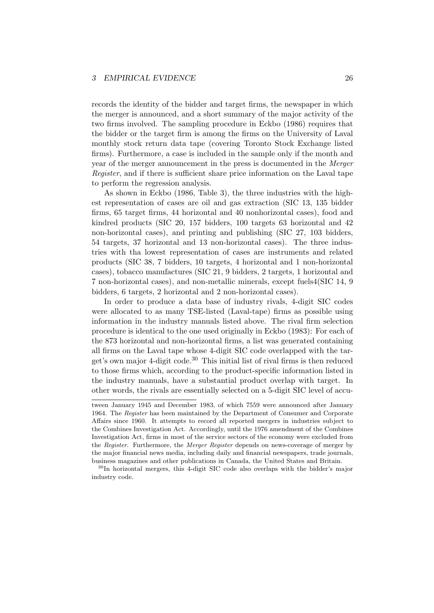records the identity of the bidder and target firms, the newspaper in which the merger is announced, and a short summary of the major activity of the two firms involved. The sampling procedure in Eckbo (1986) requires that the bidder or the target firm is among the firms on the University of Laval monthly stock return data tape (covering Toronto Stock Exchange listed firms). Furthermore, a case is included in the sample only if the month and year of the merger announcement in the press is documented in the Merger Register, and if there is sufficient share price information on the Laval tape to perform the regression analysis.

As shown in Eckbo (1986, Table 3), the three industries with the highest representation of cases are oil and gas extraction (SIC 13, 135 bidder firms, 65 target firms, 44 horizontal and 40 nonhorizontal cases), food and kindred products (SIC 20, 157 bidders, 100 targets 63 horizontal and 42 non-horizontal cases), and printing and publishing (SIC 27, 103 bidders, 54 targets, 37 horizontal and 13 non-horizontal cases). The three industries with tha lowest representation of cases are instruments and related products (SIC 38, 7 bidders, 10 targets, 4 horizontal and 1 non-horizontal cases), tobacco manufactures (SIC 21, 9 bidders, 2 targets, 1 horizontal and 7 non-horizontal cases), and non-metallic minerals, except fuels4(SIC 14, 9 bidders, 6 targets, 2 horizontal and 2 non-horizontal cases).

In order to produce a data base of industry rivals, 4-digit SIC codes were allocated to as many TSE-listed (Laval-tape) firms as possible using information in the industry manuals listed above. The rival firm selection procedure is identical to the one used originally in Eckbo (1983): For each of the 873 horizontal and non-horizontal firms, a list was generated containing all firms on the Laval tape whose 4-digit SIC code overlapped with the target's own major 4-digit code.<sup>30</sup> This initial list of rival firms is then reduced to those firms which, according to the product-specific information listed in the industry manuals, have a substantial product overlap with target. In other words, the rivals are essentially selected on a 5-digit SIC level of accu-

tween January 1945 and December 1983, of which 7559 were announced after January 1964. The Register has been maintained by the Department of Consumer and Corporate Affairs since 1960. It attempts to record all reported mergers in industries subject to the Combines Investigation Act. Accordingly, until the 1976 amendment of the Combines Investigation Act, firms in most of the service sectors of the economy were excluded from the Register. Furthermore, the Merger Register depends on news-coverage of merger by the major financial news media, including daily and financial newspapers, trade journals, business magazines and other publications in Canada, the United States and Britain.

<sup>30</sup>In horizontal mergers, this 4-digit SIC code also overlaps with the bidder's major industry code.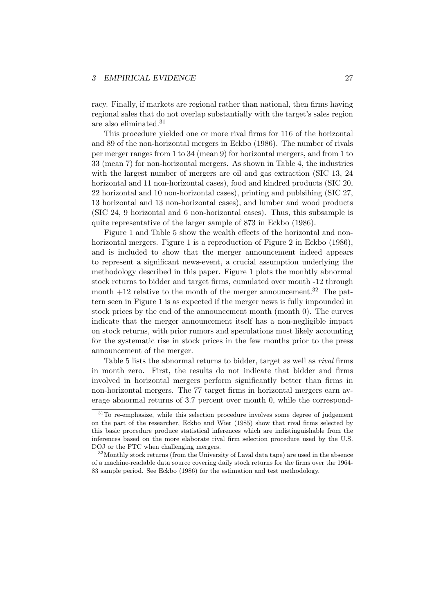racy. Finally, if markets are regional rather than national, then firms having regional sales that do not overlap substantially with the target's sales region are also eliminated.<sup>31</sup>

This procedure yielded one or more rival firms for 116 of the horizontal and 89 of the non-horizontal mergers in Eckbo (1986). The number of rivals per merger ranges from 1 to 34 (mean 9) for horizontal mergers, and from 1 to 33 (mean 7) for non-horizontal mergers. As shown in Table 4, the industries with the largest number of mergers are oil and gas extraction (SIC 13, 24 horizontal and 11 non-horizontal cases), food and kindred products (SIC 20, 22 horizontal and 10 non-horizontal cases), printing and publsihing (SIC 27, 13 horizontal and 13 non-horizontal cases), and lumber and wood products (SIC 24, 9 horizontal and 6 non-horizontal cases). Thus, this subsample is quite representative of the larger sample of 873 in Eckbo (1986).

Figure 1 and Table 5 show the wealth effects of the horizontal and nonhorizontal mergers. Figure 1 is a reproduction of Figure 2 in Eckbo (1986), and is included to show that the merger announcement indeed appears to represent a significant news-event, a crucial assumption underlying the methodology described in this paper. Figure 1 plots the monhtly abnormal stock returns to bidder and target firms, cumulated over month -12 through month  $+12$  relative to the month of the merger announcement.<sup>32</sup> The pattern seen in Figure 1 is as expected if the merger news is fully impounded in stock prices by the end of the announcement month (month 0). The curves indicate that the merger announcement itself has a non-negligible impact on stock returns, with prior rumors and speculations most likely accounting for the systematic rise in stock prices in the few months prior to the press announcement of the merger.

Table 5 lists the abnormal returns to bidder, target as well as rival firms in month zero. First, the results do not indicate that bidder and firms involved in horizontal mergers perform significantly better than firms in non-horizontal mergers. The 77 target firms in horizontal mergers earn average abnormal returns of 3.7 percent over month 0, while the correspond-

 $31$ To re-emphasize, while this selection procedure involves some degree of judgement on the part of the researcher, Eckbo and Wier (1985) show that rival firms selected by this basic procedure produce statistical inferences which are indistinguishable from the inferences based on the more elaborate rival firm selection procedure used by the U.S. DOJ or the FTC when challenging mergers.

 $32$ Monthly stock returns (from the University of Laval data tape) are used in the absence of a machine-readable data source covering daily stock returns for the firms over the 1964- 83 sample period. See Eckbo (1986) for the estimation and test methodology.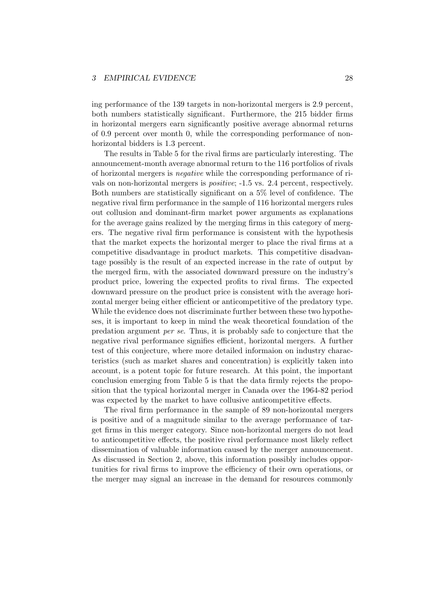ing performance of the 139 targets in non-horizontal mergers is 2.9 percent, both numbers statistically significant. Furthermore, the 215 bidder firms in horizontal mergers earn significantly positive average abnormal returns of 0.9 percent over month 0, while the corresponding performance of nonhorizontal bidders is 1.3 percent.

The results in Table 5 for the rival firms are particularly interesting. The announcement-month average abnormal return to the 116 portfolios of rivals of horizontal mergers is negative while the corresponding performance of rivals on non-horizontal mergers is positive; -1.5 vs. 2.4 percent, respectively. Both numbers are statistically significant on a 5% level of confidence. The negative rival firm performance in the sample of 116 horizontal mergers rules out collusion and dominant-firm market power arguments as explanations for the average gains realized by the merging firms in this category of mergers. The negative rival firm performance is consistent with the hypothesis that the market expects the horizontal merger to place the rival firms at a competitive disadvantage in product markets. This competitive disadvantage possibly is the result of an expected increase in the rate of output by the merged firm, with the associated downward pressure on the industry's product price, lowering the expected profits to rival firms. The expected downward pressure on the product price is consistent with the average horizontal merger being either efficient or anticompetitive of the predatory type. While the evidence does not discriminate further between these two hypotheses, it is important to keep in mind the weak theoretical foundation of the predation argument per se. Thus, it is probably safe to conjecture that the negative rival performance signifies efficient, horizontal mergers. A further test of this conjecture, where more detailed informaion on industry characteristics (such as market shares and concentration) is explicitly taken into account, is a potent topic for future research. At this point, the important conclusion emerging from Table 5 is that the data firmly rejects the proposition that the typical horizontal merger in Canada over the 1964-82 period was expected by the market to have collusive anticompetitive effects.

The rival firm performance in the sample of 89 non-horizontal mergers is positive and of a magnitude similar to the average performance of target firms in this merger category. Since non-horizontal mergers do not lead to anticompetitive effects, the positive rival performance most likely reflect dissemination of valuable information caused by the merger announcement. As discussed in Section 2, above, this information possibly includes opportunities for rival firms to improve the efficiency of their own operations, or the merger may signal an increase in the demand for resources commonly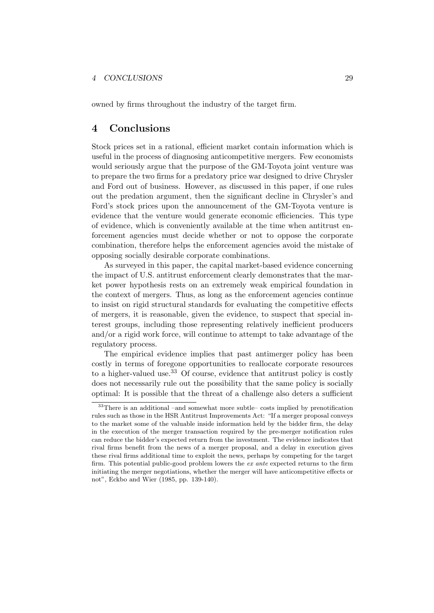owned by firms throughout the industry of the target firm.

# 4 Conclusions

Stock prices set in a rational, efficient market contain information which is useful in the process of diagnosing anticompetitive mergers. Few economists would seriously argue that the purpose of the GM-Toyota joint venture was to prepare the two firms for a predatory price war designed to drive Chrysler and Ford out of business. However, as discussed in this paper, if one rules out the predation argument, then the significant decline in Chrysler's and Ford's stock prices upon the announcement of the GM-Toyota venture is evidence that the venture would generate economic efficiencies. This type of evidence, which is conveniently available at the time when antitrust enforcement agencies must decide whether or not to oppose the corporate combination, therefore helps the enforcement agencies avoid the mistake of opposing socially desirable corporate combinations.

As surveyed in this paper, the capital market-based evidence concerning the impact of U.S. antitrust enforcement clearly demonstrates that the market power hypothesis rests on an extremely weak empirical foundation in the context of mergers. Thus, as long as the enforcement agencies continue to insist on rigid structural standards for evaluating the competitive effects of mergers, it is reasonable, given the evidence, to suspect that special interest groups, including those representing relatively inefficient producers and/or a rigid work force, will continue to attempt to take advantage of the regulatory process.

The empirical evidence implies that past antimerger policy has been costly in terms of foregone opportunities to reallocate corporate resources to a higher-valued use.<sup>33</sup> Of course, evidence that antitrust policy is costly does not necessarily rule out the possibility that the same policy is socially optimal: It is possible that the threat of a challenge also deters a sufficient

<sup>33</sup>There is an additional –and somewhat more subtle– costs implied by prenotification rules such as those in the HSR Antitrust Improvements Act: "If a merger proposal conveys to the market some of the valuable inside information held by the bidder firm, the delay in the execution of the merger transaction required by the pre-merger notification rules can reduce the bidder's expected return from the investment. The evidence indicates that rival firms benefit from the news of a merger proposal, and a delay in execution gives these rival firms additional time to exploit the news, perhaps by competing for the target firm. This potential public-good problem lowers the ex ante expected returns to the firm initiating the merger negotiations, whether the merger will have anticompetitive effects or not", Eckbo and Wier (1985, pp. 139-140).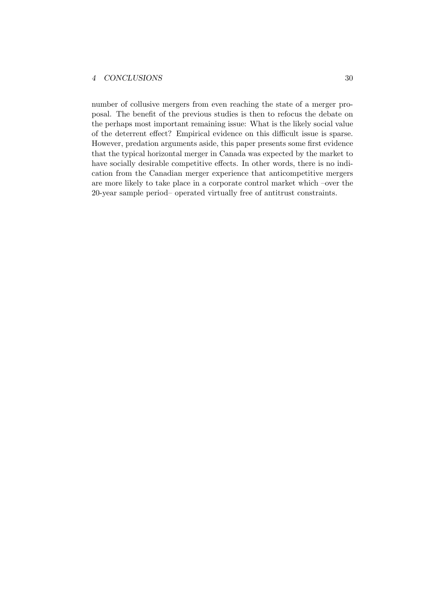## 4 CONCLUSIONS 30

number of collusive mergers from even reaching the state of a merger proposal. The benefit of the previous studies is then to refocus the debate on the perhaps most important remaining issue: What is the likely social value of the deterrent effect? Empirical evidence on this difficult issue is sparse. However, predation arguments aside, this paper presents some first evidence that the typical horizontal merger in Canada was expected by the market to have socially desirable competitive effects. In other words, there is no indication from the Canadian merger experience that anticompetitive mergers are more likely to take place in a corporate control market which –over the 20-year sample period– operated virtually free of antitrust constraints.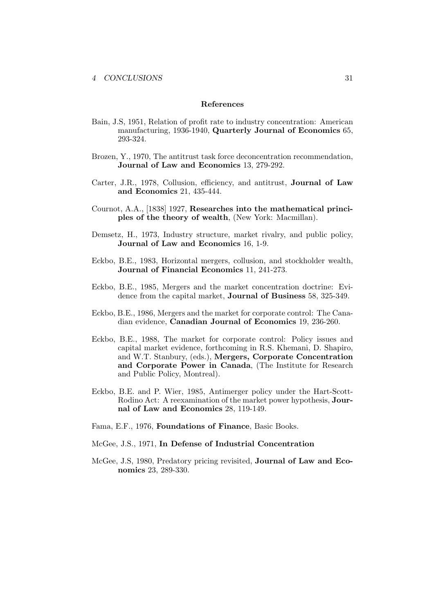#### References

- Bain, J.S, 1951, Relation of profit rate to industry concentration: American manufacturing, 1936-1940, Quarterly Journal of Economics 65, 293-324.
- Brozen, Y., 1970, The antitrust task force deconcentration recommendation, Journal of Law and Economics 13, 279-292.
- Carter, J.R., 1978, Collusion, efficiency, and antitrust, Journal of Law and Economics 21, 435-444.
- Cournot, A.A., [1838] 1927, Researches into the mathematical principles of the theory of wealth, (New York: Macmillan).
- Demsetz, H., 1973, Industry structure, market rivalry, and public policy, Journal of Law and Economics 16, 1-9.
- Eckbo, B.E., 1983, Horizontal mergers, collusion, and stockholder wealth, Journal of Financial Economics 11, 241-273.
- Eckbo, B.E., 1985, Mergers and the market concentration doctrine: Evidence from the capital market, Journal of Business 58, 325-349.
- Eckbo, B.E., 1986, Mergers and the market for corporate control: The Canadian evidence, Canadian Journal of Economics 19, 236-260.
- Eckbo, B.E., 1988, The market for corporate control: Policy issues and capital market evidence, forthcoming in R.S. Khemani, D. Shapiro, and W.T. Stanbury, (eds.), Mergers, Corporate Concentration and Corporate Power in Canada, (The Institute for Research and Public Policy, Montreal).
- Eckbo, B.E. and P. Wier, 1985, Antimerger policy under the Hart-Scott-Rodino Act: A reexamination of the market power hypothesis, Journal of Law and Economics 28, 119-149.
- Fama, E.F., 1976, Foundations of Finance, Basic Books.
- McGee, J.S., 1971, In Defense of Industrial Concentration
- McGee, J.S, 1980, Predatory pricing revisited, Journal of Law and Economics 23, 289-330.